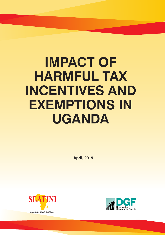# **IMPACT OF HARMFUL TAX INCENTIVES AND EXEMPTIONS IN UGANDA**

 **April, 2019**



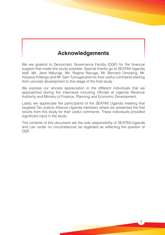# **Acknowledgements**

We are grateful to Democratic Governance Facility (DGF) for the financial support that made this study possible. Special thanks go to SEATINI Uganda staff; Ms. Jane Nalunga, Ms. Regina Navuga, Mr. Bernard Omoding, Mr. Aloysius Kittengo and Mr. Sam Tumugarukire for their useful comments starting from concept development to this stage of the final study.

We express our sincere appreciation to the different individuals that we approached during the interviews including officials at Uganda Revenue Authority and Ministry of Finance, Planning and Economic Development.

Lastly, we appreciate the participants of the SEATINI Uganda meeting that targeted Tax Justice Alliance Uganda members where we presented the first results from this study for their useful comments. These individuals provided significant input in the study.

The contents of this document are the sole responsibility of SEATINI-Uganda and can under no circumstances be regarded as reflecting the position of DGF.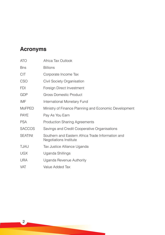# **Acronyms**

| <b>ATO</b>     | Africa Tax Outlook                                                          |
|----------------|-----------------------------------------------------------------------------|
| <b>B</b> ns    | <b>Billions</b>                                                             |
| <b>CIT</b>     | Corporate Income Tax                                                        |
| CSO            | Civil Society Organisation                                                  |
| <b>FDI</b>     | Foreign Direct Investment                                                   |
| GDP            | <b>Gross Domestic Product</b>                                               |
| IMF            | International Monetary Fund                                                 |
| <b>MoFPED</b>  | Ministry of Finance Planning and Economic Development                       |
| <b>PAYE</b>    | Pay As You Earn                                                             |
| <b>PSA</b>     | <b>Production Sharing Agreements</b>                                        |
| <b>SACCOS</b>  | Savings and Credit Cooperative Organisations                                |
| <b>SEATINI</b> | Southern and Eastern Africa Trade Information and<br>Negotiations Institute |
| <b>TJAU</b>    | Tax Justice Alliance Uganda                                                 |
| <b>UGX</b>     | Uganda Shillings                                                            |
| <b>URA</b>     | Uganda Revenue Authority                                                    |
| <b>VAT</b>     | Value Added Tax                                                             |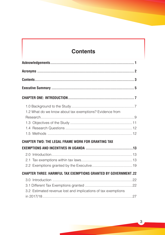# **Contents**

| 1.2 What do we know about tax exemptions? Evidence from               |  |
|-----------------------------------------------------------------------|--|
|                                                                       |  |
|                                                                       |  |
| <b>CHAPTER TWO: THE LEGAL FRAME WORK FOR GRANTING TAX</b>             |  |
| 2.0                                                                   |  |
| <b>CHAPTER THREE: HARMFUL TAX EXEMPTIONS GRANTED BY GOVERNMENT.22</b> |  |
| 3.2 Estimated revenue lost and implications of tax exemptions         |  |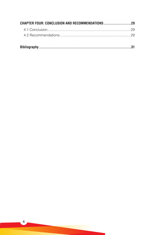$\overline{4}$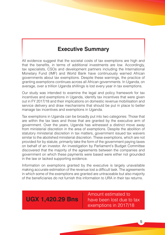# **Executive Summary**

All evidence suggest that the societal costs of tax exemptions are high and that the benefits, in terms of additional investments are low. Accordingly, tax specialists, CSOs and development partners including the International Monetary Fund (IMF) and World Bank have continuously warned African governments about tax exemptions. Despite these warnings, the practice of granting exemptions continues across all African governments. In Uganda, on average, over a trillion Uganda shillings is lost every year in tax exemptions.

Our study was intended to examine the legal and policy framework for tax incentives and exemptions in Uganda, identify tax incentives that were given out in FY 2017/18 and their implications on domestic revenue mobilisation and service delivery and draw mechanisms that should be put in place to better manage tax incentives and exemptions in Uganda.

Tax exemptions in Uganda can be broadly put into two categories: Those that are within the tax laws and those that are granted by the executive arm of government. Over the years, Uganda has witnessed a distinct move away from ministerial discretion in the area of exemptions. Despite the abolition of statutory ministerial discretion in tax matters, government issued tax waivers similar to the abolished ministerial discretion. These exemptions, which are not provided for by statute, primarily take the form of the government paying taxes on behalf of an investor. An investigation by Parliament's Budget Committee discovered that the majority of the agreements between the companies and government on which these payments were based were either not grounded in the law or lacked supporting evidence.

Information on exemptions granted by the executive is largely unavailable making accurate estimation of the revenue lost a difficult task. The agreements in which some of the exemptions are granted are untraceable but also majority of the beneficiaries do not furnish this information to URA in their tax returns.

# **UGX 1,420.29 Bns**

Amount estimated to have been lost due to tax exemptions in 2017/18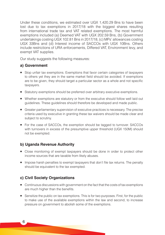Under these conditions, we estimated over UGX 1,420.29 Bns to have been lost due to tax exemptions in 2017/18 with the biggest shares resulting from international trade tax and VAT related exemptions. The most harmful exemptions included (a) Deemed VAT with UGX 202.59 Bns, (b) Government undertakings costing UGX 102.81 Bns in 2017/18, (c) MPs' allowances costing UGX 33Bns and (d) Interest income of SACCOs with UGX 10Bns. Others include restrictions of URA enforcements, Differed VAT, Environment levy, and exempt VAT supplies.

Our study suggests the following measures:

#### **a) Government**

- Stop unfair tax exemptions. Exemptions that favor certain categories of taxpayers to others yet they are in the same market field should be avoided. If exemptions are to be given, they should target a particular sector as a whole and not specific taxpayers.
- Statutory exemptions should be preferred over arbitrary executive exemptions.
- Whether exemptions are statutory or from the executive should follow well laid out guidelines. These guidelines should therefore be developed and made public.
- Greater parliamentary supervision of executive practices is necessary. The precise criteria used by executive in granting these tax waivers should be made clear and subject to scrutiny.
- For the case of SACCOs, the exemption should be tagged to turnover. SACCOs with turnovers in excess of the presumptive upper threshold (UGX 150M) should not be exempted.

# **b) Uganda Revenue Authority**

- Close monitoring of exempt taxpayers should be done in order to protect other income sources that are taxable from likely abuses.
- **IMPO HARK** Impose harsh penalties to exempt taxpayers that don't file tax returns. The penalty should be equivalent to the tax exempted.

## **c) Civil Society Organizations**

- Continuous discussions with government on the fact that the costs of tax exemptions are much higher than the benefits.
- Sensitize the public on tax exemptions. This is for two purposes. First, for the public to make use of the available exemptions within the law and second, to increase pressure on government to abolish some of the exemptions.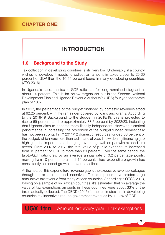# **CHAPTER ONE:**

# **INTRODUCTION**

# **1.0 Background to the Study**

Tax collection in developing countries is still very low. Undeniably, if a country wishes to develop, it needs to collect an amount in taxes closer to 25-30 percent of GDP than the 10-15 percent found in many developing countries, (ATO 2016).

In Uganda's case, the tax to GDP ratio has for long remained stagnant at about 14 percent. This is far below targets set out in the Second National Development Plan and Uganda Revenue Authority's (URA) four year corporate plan of 18%.

In 2017, the percentage of the budget financed by domestic revenues stood at 62.25 percent, with the remainder covered by loans and grants. According to the 2018/19 Background to the Budget, in 2018/19, this is projected to rise to 69 percent, and to approximately 83.6 percent by 2022/23, indicating that Uganda aims to become more fiscally independent. However, historical performance in increasing the proportion of the budget funded domestically has not been strong. In FY 2011/12 domestic resources funded 66 percent of the budget, which was more than last financial year. The widening financing gap highlights the importance of bringing revenue growth on par with expenditure needs. From 2007 to 2017, the total value of public expenditure increased from 15 percent of GDP to more than 20 percent. Over the same period, the tax-to-GDP ratio grew by an average annual rate of 0.2 percentage points, moving from 10 percent to almost 14 percent. Thus, expenditure growth has consistently outpaced growth in revenue collection.

At the heart of this expenditure- revenue gap is the excessive revenue leakages through tax exemptions and incentives. Tax exemptions have eroded large amounts of tax revenue from many African countries. According to OECD 2013, basing on a sample of six African countries, it's estimated that on average the value of tax exemptions amounts in these countries were about 33% of the taxes actually collected. The OECD (2015) further estimates that in developing countries tax incentives reduce government revenues by 1—2% of GDP.

**UGX 1trn** Amount lost every year in tax exemptions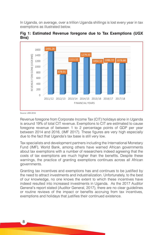In Uganda, on average, over a trillion Uganda shillings is lost every year in tax exemptions as illustrated below.





Source: URA 2018

Revenue foregone from Corporate Income Tax (CIT) holidays alone in Uganda is around 19% of total CIT revenue. Exemptions to CIT are estimated to cause foregone revenue of between 1 to 2 percentage points of GDP per year between 2014 and 2016, (IMF 2017). These figures are very high especially due to the fact that Uganda's tax base is still very low.

Tax specialists and development partners including the International Monetary Fund (IMF), World Bank, among others have warned African governments about tax exemptions with a number of researchers indeed agreeing that the costs of tax exemptions are much higher than the benefits. Despite these warnings, the practice of granting exemptions continues across all African governments.

Granting tax incentives and exemptions has and continues to be justified by the need to attract investments and industrialization. Unfortunately, to the best of our knowledge, no one knows the extent to which these incentives have indeed resulted into increased investments in Uganda. As the 2017 Auditor General's report stated (Auditor General, 2017), there are no clear guidelines or routine reviews of the impact or benefits accruing from tax incentives, exemptions and holidays that justifies their continued existence.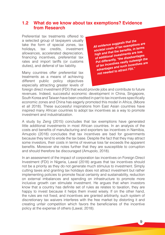## **1.2 What do we know about tax exemptions? Evidence from Research**

Preferential tax treatments offered to a selected group of taxpayers usually take the form of special zones, tax holidays, tax credits, investment allowances, accelerated depreciation, financing incentives, preferential tax rates and import tariffs (or customs duties), and deferral of tax liability.

Many countries offer preferential tax treatments as a means of achieving different public policy objectives especially attracting greater levels of *All evidence suggests that the societal costs of tax exemptions are high and that the benefits, in terms of additional investments are low. Put differently, "the disadvantages of tax incentives vastly outweigh the advantages and such incentives are not needed to attract FDI."*

foreign direct investment (FDI) that would provide jobs and contribute to future revenues. Indeed, successful economic development in China, Singapore, South Korea and Taiwan have been credited in part to tax incentives specifically economic zones and China has eagerly promoted this model in Africa, (Moore et all 2018). These successful inspirations from East Asian countries have inspired many African countries to adopt tax incentives as a way to promote investment and industrialization.

A study by Zeng (2015) concludes that tax exemptions have generated little additional investments in most African countries. In an analysis of the costs and benefits of manufacturing and exporters tax incentives in Namibia, Amupolo (2018) concludes that tax incentives are bad for governments because they tend to erode the tax base. Despite the fact that they may attract some investors, their costs in terms of revenue loss far exceeds the apparent benefits. Moreover she notes further that they are susceptible to corruption and should therefore be discouraged (Amupolo, 2018).

In an assessment of the impact of corporation tax incentives on Foreign Direct Investment (FDI) in Nigeria, Lawal (2018) argues that tax incentives should not be a priority as they do not generate much stimulus to investment. Simply cutting taxes and granting tax holidays does not attract investment but rather implementing policies to promote fiscal certainty and sustainability, reduction on external imbalances and spending on infrastructure to promote more inclusive growth can stimulate investment. He argues that when investors know that a country has definite set of rules as relates to taxation, they are happy to invest because it helps them invest wisely. If on the other hand, the rules are not fixed, and incentives are granted arbitrarily, such system of discretionary tax waivers interferes with the free market by distorting it and creating unfair competition which favors the beneficiaries of the incentive policy at the expense of others (Lawal, 2018).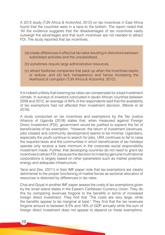A 2012 study (TJN Africa & ActionAid, 2012) on tax incentives in East Africa found that the countries were in a race to the bottom. The report noted that 'All the evidence suggests that the disadvantages of tax incentives vastly outweigh the advantages and that such incentives are not needed to attract FDI. The study reported that tax incentives,

- (a) create differences in effective tax rates resulting in distortions between subsidised activities and the unsubsidised,
- (b) sometimes require large administrative resources,
- (c) attract footloose companies that pack up when the incentives expire or reduce, and (d) lack transparency and hence increasing the likelihood of corruption (TJN Africa & ActionAid, 2012).

It is indeed unlikely that lowering tax rates can compensate for a bad investment climate. In surveys of investors concluded in seven African countries between 2009 and 2012, an average of 84% of the respondents said that the availability of tax exemptions had not affected their investment decision, (Moore et all 2018).

A study conducted on tax incentives and exemptions by the Tax Justice Alliance of Uganda (2018) states that, when measured against Foreign Direct Investment (FDI), government would be justified to expand the list of beneficiaries of tax exemption. "However, the return of investment (revenues, jobs created and community development) seems to be minimal, Ugandans, especially the youth continue to search for jobs, URA continues to fail to raise the required taxes and the communities in which beneficiaries of tax holidays operate only receive a bare minimum in the corporate social responsibility investment made. Further, that developing countries do not need to grant tax incentives to attract FDI, because the decision to invest by genuine multinational corporations is largely based on other parameters such as market potential, energy and adequate infrastructure.

Tanzi and Zee, (2011) in their IMF paper note that tax exemptions are clearly detrimental to the proper functioning of market forces as sectorial allocation of resources is distorted by differences in tax rates.

Chai and Goyal in another IMF paper assess the costs of tax exemptions given by the small island states in the Eastern Caribbean Currency Union. They do this by comparing revenues forgone to the benefits in terms of increased foreign direct investment. They find that "The costs are very large, while the benefits appear to be marginal at best." They find that the tax revenues forgone amount to between 9.5% and 16% of GDP annually while the sum of foreign direct investment does not appear to depend on these exemptions.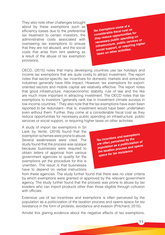They also note other challenges brought about by these exemptions such as efficiency losses due to the preferential tax treatment to certain investors, the administrative costs associated with overseeing tax exemptions to ensure that they are not abused, and the social costs that arise from rent seeking as a result of the abuse of tax exemption provisions.

*Tax Exemptons come at a considerable fiscal cost as they reduce opportunities for necessary public spending on infrastructure, public services or social support, or requiring higher taxes on other activities.*

OECD, (2015) notes that many developing countries use tax holidays and income tax exemptions that are quite costly to attract investment. The report notes that sector-specific tax incentives for domestic markets and extractive industries generally have little impact. However, tax exemptions for exportoriented sectors and mobile capital are relatively effective. The report notes that good infrastructure, macroeconomic stability, rule of law and the like are much more important in attracting investment. The OECD notes that tax exemptions to investors "generally rank low in investment climate surveys in low-income countries." They also note that the tax exemptions have even been reported to be redundant—that is, investment would have been undertaken even without them. Further, they come at a considerable fiscal cost as they reduce opportunities for necessary public spending on infrastructure, public services or social support, or requiring higher taxes on other activities.

A study of import tax exemptions in Sri Lank by Verité, (2018) found that the exemption schemes were prone to abuse. Several weaknesses were cited. The study found that the process was opaque because businesses were required to obtain letters of approval from various government agencies to qualify for the exemptions yet the procedure for this is unwritten. The result is that businesses have to depend on verbal instructions

*Tax incentives and exemptions are often perceived by the population as a politicization of the taxation process and opens space for tax resistance*

from these agencies. The study further found that there was no clear criteria by which exemptions were granted or approved by the relevant government agency. The study further found that the process was prone to abuse by tax evaders who can import products other than those eligible through collusion with officials.

Extensive use of tax incentives and exemptions is often perceived by the population as a politicization of the taxation process and opens space for tax resistance in the form of protests, avoidance and evasion (Pritchard, 2015).

Amidst this glaring evidence about the negative effects of tax exemptions,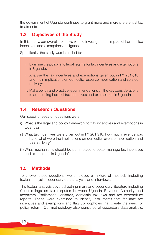the government of Uganda continues to grant more and more preferential tax treatments.

## **1.3 Objectives of the Study**

In this study, our overall objective was to investigate the impact of harmful tax incentives and exemptions in Uganda.

Specifically, the study was intended to:

- i. Examine the policy and legal regime for tax incentives and exemptions in Uganda;
- ii. Analyse the tax incentives and exemptions given out in FY 2017/18 and their implications on domestic resource mobilisation and service delivery;
- iii. Make policy and practice recommendations on the key considerations to addressing harmful tax incentives and exemptions in Uganda

# **1.4 Research Questions**

Our specific research questions were:

- i) What is the legal and policy framework for tax incentives and exemptions in Uganda?
- ii) What tax incentives were given out in FY 2017/18, how much revenue was lost and what were the implications on domestic revenue mobilisation and service delivery?
- iii) What mechanisms should be put in place to better manage tax incentives and exemptions in Uganda?

## **1.5 Methods**

To answer these questions, we employed a mixture of methods including textual analysis, secondary data analysis, and interviews.

The textual analysis covered both primary and secondary literature including Court rulings on tax disputes between Uganda Revenue Authority and taxpayers, Parliament Hansards, domestic tax laws and tax expenditure reports. These were examined to identify instruments that facilitate tax incentives and exemptions and flag up loopholes that create the need for policy reform. Our methodology also consisted of secondary data analysis.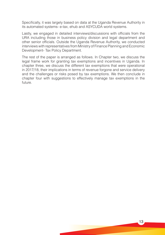Specifically, it was largely based on data at the Uganda Revenue Authority in its automated systems- e-tax, ehub and ASYCUDA world systems.

Lastly, we engaged in detailed interviews/discussions with officials from the URA including those in business policy division and legal department and other senior officials. Outside the Uganda Revenue Authority, we conducted interviews with representatives from Ministry of Finance Planning and Economic Development- Tax Policy Department.

The rest of the paper is arranged as follows. In Chapter two, we discuss the legal frame work for granting tax exemptions and incentives in Uganda. In chapter three, we discuss the different tax exemptions that were operational in 2017/18, their implications in terms of revenue forgone and service delivery and the challenges or risks posed by tax exemptions. We then conclude in chapter four with suggestions to effectively manage tax exemptions in the future.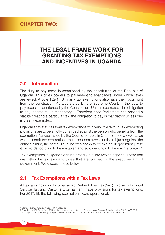# **CHAPTER TWO:**

# **THE LEGAL FRAME WORK FOR GRANTING TAX EXEMPTIONS AND INCENTIVES IN UGANDA**

## **2.0 Introduction**

The duty to pay taxes is sanctioned by the constitution of the Republic of Uganda. This gives powers to parliament to enact laws under which taxes are levied, Article 152(1). Similarly, tax exemptions also have their roots right from the constitution. As was stated by the Supreme Court, '…the duty to pay taxes is sanctioned by the Constitution. Unless exempted, the obligation to pay income tax is mandatory.<sup>1</sup> Therefore once Parliament has passed a statute creating a particular tax, the obligation to pay is mandatory unless one is clearly exempted.

Uganda's tax statutes treat tax exemptions with very little favour. Tax exempting provisions are to be strictly construed against the person who benefits from the exemption. As was stated by the Court of Appeal in Crane Bank v URA,<sup>2</sup> 'Laws which permit tax exemptions must be construed strictissimi juris against the entity claiming the same. Thus, he who seeks to be this privileged must justify it by words too plain to be mistaken and so categorical to be misinterpreted.'

Tax exemptions in Uganda can be broadly put into two categories: Those that are within the tax laws and those that are granted by the executive arm of government. We discuss these below:

## **2.1 Tax Exemptions within Tax Laws**

All tax laws including Income Tax Act, Value Added Tax (VAT), Excise Duty, Local Service Tax and Customs External Tariff have provisions for tax exemptions. For 2017/18, the following exemptions were operational.

<sup>1</sup> Uganda Revenue Authority v Kajura [2017] UGSC 63

<sup>2</sup> Crane Bank v URA CA No. 96 of 2012 cited with approval by the Supreme Court in Uganda Revenue Authority v Kajura [2017] UGSC 63; A similar approach was adopted by the High Court in Babibaasa Frank v The Commissioner General URA HCCS No 434 of 2011.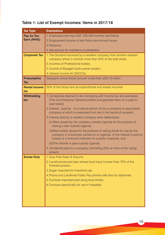# **Table 1: List of Exempt Incomes/ Items in 2017/18**

| <b>Tax Type</b>             | <b>Exemptions</b>                                                                                                                                                                                                |  |  |  |  |  |  |
|-----------------------------|------------------------------------------------------------------------------------------------------------------------------------------------------------------------------------------------------------------|--|--|--|--|--|--|
| Pay As You                  | 1. Employees earning UGX. 235,000 monthly and below.                                                                                                                                                             |  |  |  |  |  |  |
| Earn (PAYE)                 | 2. Employment Income of the Police and Armed forces.                                                                                                                                                             |  |  |  |  |  |  |
|                             | 3. Pensions.                                                                                                                                                                                                     |  |  |  |  |  |  |
|                             | 4. Allowances for members of parliament.                                                                                                                                                                         |  |  |  |  |  |  |
| <b>Corporate Tax</b>        | 1. The Dividend received by a resident company from another resident<br>company where it controls more than 25% of the total share.                                                                              |  |  |  |  |  |  |
|                             | 2. Incomes of Professional bodies.                                                                                                                                                                               |  |  |  |  |  |  |
|                             | 3. Income of Bujagali hydro power project.                                                                                                                                                                       |  |  |  |  |  |  |
|                             | 4. Interest income for SACCOs.                                                                                                                                                                                   |  |  |  |  |  |  |
| <b>Presumptive</b><br>Tax   | Taxpayers whose Gross turnover is less than UGX.10 million.                                                                                                                                                      |  |  |  |  |  |  |
| <b>Rental income</b><br>tax | 20% of the Gross rent as expenditures and losses incurred                                                                                                                                                        |  |  |  |  |  |  |
| <b>Withholding</b><br>tax   | 1. Companies deemed to be complying with Income tax are exempted.<br>[The Commissioner General profiles and gazettes them on a year-to-<br>year basis].                                                          |  |  |  |  |  |  |
|                             | 2. Interest paid by (i) a natural person (ii) by a company to associated<br>company or which is exempted from tax in the hands of recipient.                                                                     |  |  |  |  |  |  |
|                             | 3. Interest paid by a resident company were debentures:                                                                                                                                                          |  |  |  |  |  |  |
|                             | (i) Were issued by the company outside Uganda for the purpose of<br>raising a loan outside Uganda.                                                                                                               |  |  |  |  |  |  |
|                             | (ii)Were widely issued for the purpose of raising funds for use by the<br>company in a business carried on in Uganda. or the interest is paid to<br>a bank or a financial institution of a public character, and |  |  |  |  |  |  |
|                             | (iii) The interest is paid outside Uganda.                                                                                                                                                                       |  |  |  |  |  |  |
|                             | 4. Dividends paid to a company controlling 25% or more of the voting<br>powers                                                                                                                                   |  |  |  |  |  |  |
| <b>Excise Duty</b>          | 1. Duty Free Sales & Exports.                                                                                                                                                                                    |  |  |  |  |  |  |
|                             | 2. Locally produced beer whose local input is lower than 75% of the<br>finished product.                                                                                                                         |  |  |  |  |  |  |
|                             | 3. Sugar imported for Industrial use.                                                                                                                                                                            |  |  |  |  |  |  |
|                             | 4. Phone and Landlines Public Pay phones talk time for diplomats.                                                                                                                                                |  |  |  |  |  |  |
|                             | 5. Furniture manufactured using local timber.                                                                                                                                                                    |  |  |  |  |  |  |
|                             | 6. Furniture specifically for use in hospitals                                                                                                                                                                   |  |  |  |  |  |  |
|                             |                                                                                                                                                                                                                  |  |  |  |  |  |  |
|                             |                                                                                                                                                                                                                  |  |  |  |  |  |  |
|                             |                                                                                                                                                                                                                  |  |  |  |  |  |  |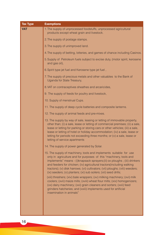| <b>Tax Type</b> | <b>Exemptions</b>                                                                                                                                                                                                                                                                                                                                                                                                                                                                                                                                                                                                                                                                                                                                                                     |  |  |  |
|-----------------|---------------------------------------------------------------------------------------------------------------------------------------------------------------------------------------------------------------------------------------------------------------------------------------------------------------------------------------------------------------------------------------------------------------------------------------------------------------------------------------------------------------------------------------------------------------------------------------------------------------------------------------------------------------------------------------------------------------------------------------------------------------------------------------|--|--|--|
| <b>VAT</b>      | 1. The supply of unprocessed foodstuffs, unprocessed agricultural<br>products except wheat grain and livestock.                                                                                                                                                                                                                                                                                                                                                                                                                                                                                                                                                                                                                                                                       |  |  |  |
|                 | 2. The supply of postage stamps.                                                                                                                                                                                                                                                                                                                                                                                                                                                                                                                                                                                                                                                                                                                                                      |  |  |  |
|                 | 3. The supply of unimproved land.                                                                                                                                                                                                                                                                                                                                                                                                                                                                                                                                                                                                                                                                                                                                                     |  |  |  |
|                 | 4. The supply of betting, lotteries, and games of chance including Casinos.                                                                                                                                                                                                                                                                                                                                                                                                                                                                                                                                                                                                                                                                                                           |  |  |  |
|                 | 5. Supply of Petroleum fuels subject to excise duty, (motor spirit, kerosene<br>and gas oil),                                                                                                                                                                                                                                                                                                                                                                                                                                                                                                                                                                                                                                                                                         |  |  |  |
|                 | 6. Spirit type jet fuel and Kerosene type jet fuel,                                                                                                                                                                                                                                                                                                                                                                                                                                                                                                                                                                                                                                                                                                                                   |  |  |  |
|                 | 7. The supply of precious metals and other valuables to the Bank of<br>Uganda for State Treasury,                                                                                                                                                                                                                                                                                                                                                                                                                                                                                                                                                                                                                                                                                     |  |  |  |
|                 | 8. VAT on contraceptives sheathes and arcaricides,                                                                                                                                                                                                                                                                                                                                                                                                                                                                                                                                                                                                                                                                                                                                    |  |  |  |
|                 | 9. The supply of feeds for poultry and livestock,                                                                                                                                                                                                                                                                                                                                                                                                                                                                                                                                                                                                                                                                                                                                     |  |  |  |
|                 | 10. Supply of menstrual Cups.                                                                                                                                                                                                                                                                                                                                                                                                                                                                                                                                                                                                                                                                                                                                                         |  |  |  |
|                 | 11. The supply of deep cycle batteries and composite lanterns.                                                                                                                                                                                                                                                                                                                                                                                                                                                                                                                                                                                                                                                                                                                        |  |  |  |
|                 | 12. The supply of animal feeds and pre-mixes.                                                                                                                                                                                                                                                                                                                                                                                                                                                                                                                                                                                                                                                                                                                                         |  |  |  |
|                 | 13. The supply by way of sale, leasing or letting of immovable property,<br>other than; (i) a sale, lease or letting of commercial premises; (ii) a sale,<br>lease or letting for parking or storing cars or other vehicles; (iii) a sale,<br>lease or letting of hotel or holiday accommodation; (iv) a sale, lease or<br>letting for periods not exceeding three months; or (v) a sale, lease or<br>letting of service apartments                                                                                                                                                                                                                                                                                                                                                   |  |  |  |
|                 | 14. The supply of power generated by Solar.                                                                                                                                                                                                                                                                                                                                                                                                                                                                                                                                                                                                                                                                                                                                           |  |  |  |
|                 | 15. The supply of machinery, tools and implements suitable for use<br>only in agriculture and for purposes of this "machinery, tools and<br>implements" means - (i)knapsack sprayers;(ii) ox ploughs ; (iii) drinkers<br>and feeders for chicken; (iv) agricultural tractors(including walking<br>tractors); (v) disk harrows; (vi) cultivators; (vii) ploughs; (viii) weeders;<br>(ix) seeders; (x) planters; (xi) sub soilers; (xii) seed drills;<br>(xiii) threshers; (xiv) bale wrappers; (xv) milking machinery; (xvi) milk<br>coolers; (xvii) maize mills; (xviii) wheat flour mills; (xix) homogenizers;<br>(xx) dairy machinery; (xxi) grain cleaners and sorters; (xxii) feed<br>grinders hatcheries; and (xxiii) implements used for artificial<br>insemination in animals" |  |  |  |
|                 |                                                                                                                                                                                                                                                                                                                                                                                                                                                                                                                                                                                                                                                                                                                                                                                       |  |  |  |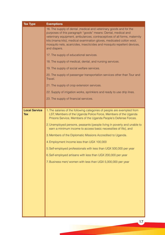| <b>Tax Type</b>             | <b>Exemptions</b>                                                                                                                                                                                                                                                                                                                                                                                                                                                                                                                                                                                                                                                              |  |  |  |  |  |
|-----------------------------|--------------------------------------------------------------------------------------------------------------------------------------------------------------------------------------------------------------------------------------------------------------------------------------------------------------------------------------------------------------------------------------------------------------------------------------------------------------------------------------------------------------------------------------------------------------------------------------------------------------------------------------------------------------------------------|--|--|--|--|--|
|                             | 16. The supply of dental , medical and veterinary goods and for the<br>purposes of this paragraph "goods" means: Dental, medical and<br>veterinary equipment, ambulances, contraceptives of all forms, maternity<br>kits (mama kits), medical examination gloves, medicated cotton wool,<br>mosquito nets, acaricides, insecticides and mosquito repellent devices,<br>and diapers.                                                                                                                                                                                                                                                                                            |  |  |  |  |  |
|                             | 17. The supply of educational services.                                                                                                                                                                                                                                                                                                                                                                                                                                                                                                                                                                                                                                        |  |  |  |  |  |
|                             | 18. The supply of medical, dental, and nursing services.                                                                                                                                                                                                                                                                                                                                                                                                                                                                                                                                                                                                                       |  |  |  |  |  |
|                             | 19. The supply of social welfare services.                                                                                                                                                                                                                                                                                                                                                                                                                                                                                                                                                                                                                                     |  |  |  |  |  |
|                             | 20. The supply of passenger transportation services other than Tour and<br>Travel.                                                                                                                                                                                                                                                                                                                                                                                                                                                                                                                                                                                             |  |  |  |  |  |
|                             | 21. The supply of crop extension services.                                                                                                                                                                                                                                                                                                                                                                                                                                                                                                                                                                                                                                     |  |  |  |  |  |
|                             | 22. Supply of irrigation works, sprinklers and ready to use drip lines.                                                                                                                                                                                                                                                                                                                                                                                                                                                                                                                                                                                                        |  |  |  |  |  |
|                             | 23. The supply of financial services.                                                                                                                                                                                                                                                                                                                                                                                                                                                                                                                                                                                                                                          |  |  |  |  |  |
|                             |                                                                                                                                                                                                                                                                                                                                                                                                                                                                                                                                                                                                                                                                                |  |  |  |  |  |
| <b>Local Service</b><br>Tax | 1. The salaries of the following categories of people are exempted from<br>LST; Members of the Uganda Police Force, Members of the Uganda<br>Prisons Service, Members of the Uganda People's Defense Forces.<br>2. Unemployed persons, peasants (people living in poverty and unable to<br>earn a minimum income to access basic necessities of life), and<br>3. Members of the Diplomatic Missions Accredited to Uganda.<br>4. Employment Income less than UGX 100,000<br>5. Self-employed professionals with less than UGX 500,000 per year<br>6. Self-employed artisans with less than UGX 200,000 per year<br>7. Business men/ women with less than UGX 5,000,000 per year |  |  |  |  |  |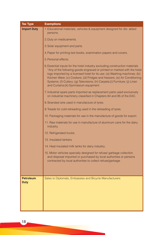| <b>Tax Type</b>                 | <b>Exemptions</b>                                                                                                                                                                                                                                                                                                                                                                                                                        |
|---------------------------------|------------------------------------------------------------------------------------------------------------------------------------------------------------------------------------------------------------------------------------------------------------------------------------------------------------------------------------------------------------------------------------------------------------------------------------------|
| <b>Import Duty</b>              | 1. Educational materials, vehicles & equipment designed for dis-abled<br>persons.                                                                                                                                                                                                                                                                                                                                                        |
|                                 | 2. Duty on medicaments.                                                                                                                                                                                                                                                                                                                                                                                                                  |
|                                 | 3. Solar equipment and parts.                                                                                                                                                                                                                                                                                                                                                                                                            |
|                                 | 4. Paper for printing text books, examination papers and covers.                                                                                                                                                                                                                                                                                                                                                                         |
|                                 | 5. Personal effects.                                                                                                                                                                                                                                                                                                                                                                                                                     |
|                                 | 6. Essential inputs for the hotel industry excluding construction materials<br>"Any of the following goods engraved or printed or marked with the hotel<br>logo imported by a licensed hotel for its use: (a) Washing machines; (b)<br>Kitchen Ware; (c) Cookers; (d) Fridges and freezers, (e) Air Conditioning<br>Systems; (f) Cutlery; (g) Televisions; (h) Carpets; (i) Furniture; (j) Linen<br>and Curtains;(k) Gymnasium equipment |
|                                 | 7. Industrial spare parts imported as replacement parts used exclusively<br>on industrial machinery classified in Chapters 84 and 85 of the EAC.                                                                                                                                                                                                                                                                                         |
|                                 | 8. Stranded wire used in manufacture of tyres.                                                                                                                                                                                                                                                                                                                                                                                           |
|                                 | 9. Treads for cold retreading used in the retreading of tyres.                                                                                                                                                                                                                                                                                                                                                                           |
|                                 | 10. Packaging materials for use in the manufacture of goods for export.                                                                                                                                                                                                                                                                                                                                                                  |
|                                 | 11. Raw materials for use in manufacture of aluminum cans for the dairy<br>industry.                                                                                                                                                                                                                                                                                                                                                     |
|                                 | 12. Refrigerated trucks.                                                                                                                                                                                                                                                                                                                                                                                                                 |
|                                 | 13. Insulated tankers.                                                                                                                                                                                                                                                                                                                                                                                                                   |
|                                 | 14. Heat insulated milk tanks for dairy industry.                                                                                                                                                                                                                                                                                                                                                                                        |
|                                 | 15. Motor vehicles specially designed for refuse/ garbage collection<br>and disposal imported or purchased by local authorities or persons<br>contracted by local authorities to collect refuse/garbage                                                                                                                                                                                                                                  |
|                                 |                                                                                                                                                                                                                                                                                                                                                                                                                                          |
| <b>Petroleum</b><br><b>Duty</b> | Sales to Diplomats, Embassies and Bicycle Manufacturers                                                                                                                                                                                                                                                                                                                                                                                  |
|                                 |                                                                                                                                                                                                                                                                                                                                                                                                                                          |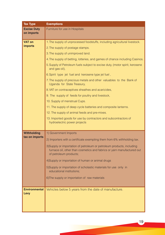| <b>Tax Type</b>                      | <b>Exemptions</b>                                                                                                                                                         |
|--------------------------------------|---------------------------------------------------------------------------------------------------------------------------------------------------------------------------|
| <b>Excise Duty</b><br>on imports     | Furniture for use in Hospitals                                                                                                                                            |
|                                      |                                                                                                                                                                           |
| <b>VAT on</b>                        | 1. The supply of unprocessed foodstuffs, including agricultural livestock.                                                                                                |
| <b>imports</b>                       | 2. The supply of postage stamps.                                                                                                                                          |
|                                      | 3. The supply of unimproved land.                                                                                                                                         |
|                                      | 4. The supply of betting, lotteries, and games of chance including Casinos.                                                                                               |
|                                      | 5. Supply of Petroleum fuels subject to excise duty, (motor spirit, kerosene<br>and gas oil),                                                                             |
|                                      | 6. Spirit type jet fuel and kerosene type jet fuel,                                                                                                                       |
|                                      | 7. The supply of precious metals and other valuables to the Bank of<br>Uganda for State Treasury,                                                                         |
|                                      | 8. VAT on contraceptives sheathes and acaricides,                                                                                                                         |
|                                      | 9. The supply of feeds for poultry and livestock,                                                                                                                         |
|                                      | 10. Supply of menstrual Cups.                                                                                                                                             |
|                                      | 11. The supply of deep cycle batteries and composite lanterns.                                                                                                            |
|                                      | 12. The supply of animal feeds and pre-mixes.                                                                                                                             |
|                                      | 13. Imported goods for use by contractors and subcontractors of                                                                                                           |
|                                      | hydroelectric power projects                                                                                                                                              |
|                                      |                                                                                                                                                                           |
| <b>Withholding</b><br>tax on imports | 1) Government Imports                                                                                                                                                     |
|                                      | 2) Importers with a certificate exempting them from 6% withholding tax.                                                                                                   |
|                                      | 3)Supply or importation of petroleum or petroleum products, including<br>furnace oil, other than cosmetics and fabrics or yarn manufactured out<br>of petroleum products; |
|                                      | 4) Supply or importation of human or animal drugs                                                                                                                         |
|                                      | 5)Supply or importation of scholastic materials for use only in<br>educational institutions;                                                                              |
|                                      | 6) The supply or importation of raw materials                                                                                                                             |
|                                      |                                                                                                                                                                           |
|                                      |                                                                                                                                                                           |
| <b>Environmental</b><br>Levy         | Vehicles below 5 years from the date of manufacture.                                                                                                                      |
|                                      |                                                                                                                                                                           |
|                                      |                                                                                                                                                                           |
|                                      |                                                                                                                                                                           |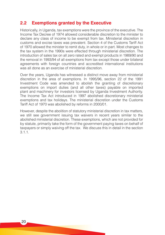# **2.2 Exemptions granted by the Executive**

Historically, in Uganda, tax exemptions were the province of the executive. The Income Tax Decree of 1974 allowed considerable discretion to the minister to declare any class of income to be exempt from tax. Ministerial discretion in customs and excise taxes was prevalent. Section 4 of the Customs Tariff Act of 1970 allowed the minister to remit duty, in whole or in part. Most changes to the tax system in the 1990s were effected through ministerial discretion. The introduction of sales tax on all zero rated and exempt products in 1989/90 and the removal in 1993/94 of all exemptions from tax except those under bilateral agreements with foreign countries and accredited international institutions was all done as an exercise of ministerial discretion.

Over the years, Uganda has witnessed a distinct move away from ministerial discretion in the area of exemptions. In 1995/96, section 22 of the 1991 Investment Code was amended to abolish the granting of discretionary exemptions on import duties (and all other taxes) payable on imported plant and machinery for investors licensed by Uganda Investment Authority. The Income Tax Act introduced in 1997 abolished discretionary ministerial exemptions and tax holidays. The ministerial discretion under the Customs Tariff Act of 1970 was abolished by reforms in 2000/01.

However, despite the abolition of statutory ministerial discretion in tax matters, we still see government issuing tax waivers in recent years similar to the abolished ministerial discretion. These exemptions, which are not provided for by statute, primarily take the form of the government paying taxes on behalf of taxpayers or simply waiving off the tax. We discuss this in detail in the section 3.1.1.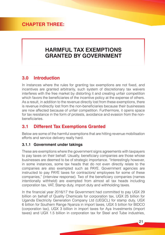# **CHAPTER THREE:**

# **HARMFUL TAX EXEMPTIONS GRANTED BY GOVERNMENT**

# **3.0 Introduction**

In instances where the rules for granting tax exemptions are not fixed, and incentives are granted arbitrarily, such system of discretionary tax waivers interferes with the free market by distorting it and creating unfair competition which favors the beneficiaries of the incentive policy at the expense of others. As a result, in addition to the revenue directly lost from these exemptions, there is revenue indirectly lost from the non-beneficiaries because their businesses are now affected because of unfair competition. Furthermore, it opens space for tax resistance in the form of protests, avoidance and evasion from the nonbeneficiaries.

# **3.1 Different Tax Exemptions Granted**

Below are some of the harmful exemptions that are hitting revenue mobilisation efforts and service delivery really hard.

#### **3.1.1 Government under takings**

These are exemptions where the government signs agreements with taxpayers to pay taxes on their behalf. Usually, beneficiary companies are those whose businesses are deemed to be of strategic importance. "Interestingly however, in some instances, some tax heads that do not even directly relate to the companies are also exempted such as PAYE. Government agencies are instructed to pay PAYE taxes for contractors/ employees for some of these companies," (interview response). Two of the beneficiary companies (names intentionally withheld) are exempted from almost all tax heads including corporation tax, VAT, Stamp duty, import duty and withholding taxes.

In the financial year 2016/17 the Government had committed to pay UGX 29 billion on behalf of Quality Chemicals for corporation tax, UGX 25 billion for Uganda Electricity Generation Company Ltd (UEGCL) for stamp duty, UGX 6 billion for Southern Range Nyanza in import taxes, UGX 5 billion for BIDCO (corporation tax), UGX 3 billion in import taxes for Aya Investments (import taxes) and UGX 1.5 billion in corporation tax for Steel and Tube industries,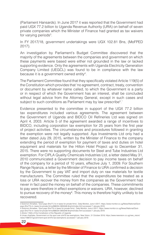(Parliament Hansards). In June 2017 it was reported that the Government had paid UGX 77.2 billion to Uganda Revenue Authority (URA) on behalf of seven private companies which the Minister of Finance had granted as tax waivers for varying periods<sup>3</sup>.

In FY 2017/18, government undertakings were UGX 102.81 Bns, (MoFPED 2017).

An investigation by Parliament's Budget Committee discovered that the majority of the agreements between the companies and government on which these payments were based were either not grounded in the law or lacked supporting evidence. Only the agreements with Uganda Electricity Generation Company Limited (UEGCL) was found to be in compliance with the law because it is a government owned entity<sup>4</sup>.

The Parliament Committee found that they specifically violated Article 119(5) of the Constitution which provides that 'no agreement, contract, treaty, convention or document by whatever name called, to which the Government is a party or in respect of which the Government has an interest, shall be concluded without legal advice from the Attorney General, except in such cases and subject to such conditions as Parliament may by law prescribe<sup>5</sup>.'

Evidence presented to the committee in support of the UGX 77.2 billion tax expenditures included various agreements. The agreement between the Government of Uganda and BIDCO Oil Refineries Ltd was signed on April 4, 2003. Article 5 of the agreement awarded a range of incentives to BIDCO, including corporation tax exemption for 25 years from the first year of project activities. The circumstances and procedures followed in granting the exemption were not legally supported. Aya Investments Ltd only had a letter dated July 29, 2015, written by the Minister of Finance to the company extending the period of exemption for payment of taxes and duties on hotel equipment and materials for the Hilton Hotel Project up to December 31, 2015. There were no supporting documents for Steel and Tube Industries Ltd exemption. For CIPLA Quality Chemicals Industries Ltd, a letter dated May 31, 2010 communicated a Government decision to pay income taxes on behalf of the company for a period of 10 years, effective July 1, 2009. For Southern Range Nyanza, a letter by the Minister of Finance to URA confirmed a decision by the Government to pay VAT and import duty on raw materials for textile manufacturers. The Committee ruled that the expenditures be treated as a loss or URA recover the money from the companies as the Government had never in fact paid the money on behalf of the companies. These commitments to pay were therefore in effect exemptions or waivers. URA, however, declined to pursue recovery of the money<sup>6</sup>. This money is therefore highly unlikely to be recovered.

5 Article 119(5) of the Constitution of the Republic of Uganda

<sup>3</sup> Solomon Arinaitwe, 'Govt pays Shs77.2 b in taxes for private firms', Daily Monitor, June 4 2017, https://www.monitor.co.ug/News/National/Govtpays-Shs77b-in--taxes-for-private-firms/688334-3955046-9nyhnt/index.html accessed 7 January 2019

<sup>4</sup> Solomon Arinaitwe, 'Govt pays Shs77b in taxes for private firms', Daily Monitor, June 4 2017, https://www.monitor.co.ug/News/National/Govtpays-Shs77b-in--taxes-for-private-firms/688334-3955046-9nyhnt/index.html accessed 7 January 2019.

<sup>6</sup> Umaru Kashaka, Government on the spot over sh47b tax exemptions, New Vision, 31 October 2018, https://www.newvision.co.ug/new\_vision/ news/1488727/government-spot-sh47b-tax-exemptions accessed 7 January 2019.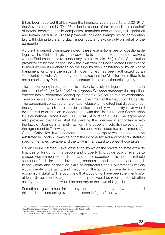It has been reported that between the Financial years 2009/10 and 2016/17, the Government paid UGX 198 billion in respect of tax expenditure on behalf of hotels, hospitals, textile companies, manufacturers of steel, milk, palm oil and tertiary institutions. These payments included exemptions on corporation tax, withholding tax, stamp duty, import duty and excise duty on behalf of the companies<sup>7</sup>.

As the Parliament Committee noted, these exemptions are of questionable legality. The Minister is given no power to issue such exemptions or waivers without Parliament approval under any statute. Article 154(1) of the Constitution provides that no monies shall be withdrawn from the Consolidated Fund except to meet expenditure charged on the fund by this Constitution or by an Act of Parliament; or where the issue of those monies has been authorized by an Appropriation Act<sup>8</sup>. As the payment of taxes that the Minister committed to is not authorised by Parliament or any statute, it is of questionable legality.

The mere entering into agreement is unlikely to satisfy the legal requirements. In the case of *Heritage Oil & GAS Ltd v Uganda Revenue Authority*<sup>9</sup> the appellant entered into a Production Sharing Agreement (PSA) for petroleum exploration, development and production with the Government of the Republic of Uganda. The agreement contained an arbitration clause to the effect that dispute under the agreement which could not be settled amicably within sixty days would be referred to arbitration in accordance with the United Nations Commission for International Trade Law (UNCITRAL) Arbitration Rules. The agreement also provided that taxes shall be paid by the licensee in accordance with the laws of Uganda in a timely fashion. The appellant sold its interests under the agreement to Tullow Uganda Limited and was issued tax assessments for Capital Gains Tax. It was contended that the tax dispute was supposed to be arbitrated in London. It was held that the Income Tax Act and other tax statutes specify the taxes payable and the URA is mandated to collect those taxes.

Hellen Obura J stated, 'Taxation is a tool by which the sovereign state extracts finances or funds from its people and property to provide public revenue to support Government expenditures and public expenses. It is the most reliable source of funds for most developing economies and therefore subjecting it to the whims and negotiation skills of contractors and Government Officials would create uncertainty and inequity on the amounts payable and cause economic instability.' The court held that it could not have been the intention of at least Government to agree that tax dispute would be referred to arbitration as any attempt to do so would be contrary to the laws of Uganda.

Sometimes, government fails to pay these taxes and they are written off and this has been increasing over time as seen in figure 2 below.

<sup>7</sup> Umaru Kashaka, Government on the spot over sh47b tax exemptions, New Vision, 31 October 2018, https://www.newvision.co.ug/new\_vision/ news/1488727/government-spot-sh47b-tax-exemptions accessed 7 January 2019

<sup>8</sup> Article 154(1) of the Constitution of the Republic of Uganda 1995

<sup>9</sup> Heritage Oil & GAS Ltd v Uganda Revenue Authority High Court Civil Appeal No 14 of 2011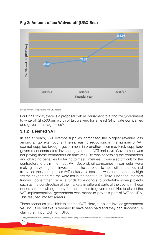



Source: Authors' computations from URA reports

For FY 2019/10, there is a proposal before parliament to authorize government to write off Shs500bns worth of tax waivers for at least 34 private companies and government agencies<sup>10</sup>

#### **3.1.2 Deemed VAT**

In earlier years, VAT exempt supplies comprised the biggest revenue loss among all tax exemptions. The increasing reductions in the number of VAT exempt supplies brought government into another dilemma. First, suppliers/ government contractors invoiced government VAT inclusive. Government was not paying these contractors on time yet URA was assessing the contractors and charging penalties for failing to meet timelines. It was also difficult for the contractors to claim the input VAT. Second, oil companies in particular were making heavy long term investments. The suppliers to these oil companies had to invoice these companies VAT inclusive- a cost that was understandably high yet their expected returns were not in the near future. Third, under counterpart funding, government receive funds from donors to undertake some projects such as the construction of the markets in different parts of the country. These donors are not willing to pay for these taxes to government. Not to distort the VAT implementation, government was meant to pay this part of VAT to URA. This resulted into tax arrears.

These scenarios gave birth to deemed VAT. Here, suppliers invoice government VAT inclusive but this is deemed to have been paid and they can successfully claim their input VAT from URA.

10 http://parliamentwatch.ug/ministry-of-finance-appears-before-the-parliamentary-committee-on-finance/#.XNWzxo4zY2w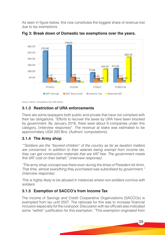As seen in figure below, this now constitutes the biggest share of revenue lost due to tax exemptions.



**Fig 3: Break down of Domestic tax exemptions over the years.**

Source: Authors' computations from URA reports

## **3.1.3 Restriction of URA enforcements**

There are some taxpayers both public and private that have not complied with their tax obligations. "Efforts to recover the taxes by URA have been blocked by government. By January 2018, there were about 9 companies under this category, (interview response)". The revenue at stake was estimated to be approximately UGX 200 Bns, (Authors' computations).

## **3.1.4 The Army shop**

*""Soldiers are the "favored children" of the country as far as taxation matters are concerned. In addition to their salaries being exempt from income tax, they can get construction materials that are VAT free. The government meets this VAT cost on their behalf," (interview response).* 

*"The army shop concept was there even during the times of President Idi Amin. That time, almost everything they purchased was subsidised by government," (interview response).* 

*This is highly likely to be abused in instances where non-soldiers connive with soldiers.*

## **3.1.5 Exemption of SACCO's from Income Tax**

The income of Savings and Credit Cooperative Organizations (SACCOs) is exempted from tax until 2027. The rationale for this was to increase financial inclusion especially for the rural poor. Discussion with tax officials also indicated some "selfish" justification for this exemption. "This exemption originated from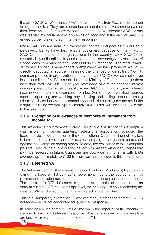the army SACCO- Wazalendo. URA recovered taxes from Wazalendo through an agency notice. They ran to state house and the directive came to exempt them from the tax", (interview response). Exempting Wazalendo SACCO alone was resisted by parliament –it also owns a Sacco and in the end, all SACCOs ended up being exempted, (interview response)

Not all SACCOs are small in turn-over and for the rural poor as it is currently perceived. Banks have lost reliable customers because of the influx of SACCOs in many of the organizations in the country. URA SACCO for example buys off staff bank loans and staff are encouraged to make use of Sacco loans compared to bank loans (interview response). The most reliable customers for banks were generally employees as loan payments would be directly deducted at source minimizing the chances of defaulting. Now its common practice in organizations to have a staff SACCO. For example large institutions like URA, Parliament, the army, Ministry of Finance among others have their staff SACCOs. These give staff loans at a much cheaper interest rate compared to banks. Additionally, many SACCOs do not only earn interest income which ideally is exempted from tax. Some, have diversified sources such as operating car washing bays, buying and selling property among others. All these incomes are potentially at risk of escaping the tax net in the disguise of being exempt. Approximately UGX 10Bns were lost in 2017/18 due to this exemption.

#### **3.1.6 Exemption of allowances of members of Parliament from Income Tax**

This attracted a country wide protest. The public aversion to this exemption was visible from various quarters: Professional associations opposed the taxes, activists filed a petition in the Constitutional Court seeking nullification, it dominated the airwaves and civil society campaigns, songs were composed against the exemption among others. To date, the resistance to this exemption persists. Despite the public outcry, the law was passed without any hopes that it will be repealed in future. Ugandans are slowly getting to terms with it. On average, approximately UGX 33 Bns are lost annually due to this exemption.

## **3.1.7 Deferred VAT**

The Value Added Tax (Deferment of Tax on Plant and Machinery) Regulations came into force on 1st July 2013. Deferment means the postponement of payment of the value added tax in respect of imported plant and machinery. The approval for VAT deferment is granted at the point of declaration of an entry at customs. After customs approval, the challenge is now monitoring the deferred VAT and ensuring that it is recovered where it is due.

This is a "temporary exemption". However, many a times the deferred VAT is not recovered or not accounted for, (interview response).

In some cases, it's deferred until a time when the importer of the machinery decides to sell it off, (interview response). The beneficiaries of this exemption are largely taxpayers that are registered for VAT.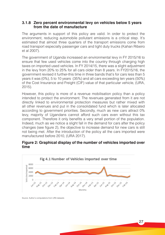#### **3.1.8 Zero percent environmental levy on vehicles below 5 years from the date of manufacture**

The arguments in support of this policy are valid. In order to protect the environment, reducing automobile pollutant emissions is a critical step. It's estimated that almost three quarters of the transport emissions come from road transport especially passenger cars and light duty trucks (Kahan Ribeiro et al 2007).

The government of Uganda increased an environmental levy in FY 2015/16 to ensure that few used vehicles come into the country through charging high taxes on imported used vehicles. In FY 2014/15, there was a slight adjustment in the levy from 20% to 25% for all cars older than 8 years. In FY2015/16, the government revised it further-this time in three bands that's for cars less than 5 years it was (0%), 5 to 10 years (35%) and all cars exceeding ten years (50%) of the Cost Insurance and Freight (CIF) value of that particular vehicle, (URA, 2015).

However, this policy is more of a revenue mobilisation policy than a policy intended to protect the environment. The revenues generated from it are not directly linked to environmental protection measures but rather mixed with all other revenues and put in the consolidated fund which is later allocated according to government priorities. Secondly, much as new cars attract 0% levy, majority of Ugandans cannot afford such cars even without this tax component. Therefore it only benefits a very small portion of the population. Indeed, much as we notice a slight fall in the demand for cars after the policy changes (see figure 2), the objective to increase demand for new cars is still not being met. After the introduction of the policy all the cars imported were manufactured before 2010, (URA 2017).

#### **Figure 2: Graphical display of the number of vehicles imported over time**



Source: Author's computations from URA datasets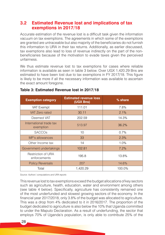# **3.2 Estimated Revenue lost and implications of tax exemptions in 2017/18**

Accurate estimation of the revenue lost is a difficult task given the information vacuum on tax exemptions. The agreements in which some of the exemptions are granted are untraceable but also majority of the beneficiaries do not furnish this information to URA in their tax returns. Additionally, as earlier discussed, tax exemptions also lead to loss of revenue indirectly on the part of the nonbeneficiaries because of the motivation to evade taxes given the perceived unfairness.

We thus estimate revenue lost to tax exemptions for cases where reliable information is available as seen in table 3 below. Over UGX 1,420.29 Bns are estimated to have been lost due to tax exemptions in FY 2017/18. This figure is likely to be more if all the necessary information was available to ascertain the exact amount foregone.

| <b>Exemption category</b>            | <b>Estimated revenue loss</b><br>(UGX Bns) | % share |  |
|--------------------------------------|--------------------------------------------|---------|--|
| VAT Exempt                           | 111.01                                     | 7.8%    |  |
| <b>VAT Zero rated</b>                | 30.11                                      | 2.1%    |  |
| Deemed VAT                           | 202.59                                     | 14.3%   |  |
| International trade tax<br>exemption | 513.97                                     | 36.2%   |  |
| <b>SACCOs</b>                        | 10                                         | 0.7%    |  |
| MP's allowances                      | 33                                         | 2.3%    |  |
| Other Income tax                     | 14                                         | 1.0%    |  |
| Government undertakings              | 102.81                                     | 7.2%    |  |
| Restriction of URA<br>enforcements   | 195.8                                      | 13.8%   |  |
| <b>Policy Reversals</b>              | 207                                        | 14.6%   |  |
| Total                                | 1,420.29                                   | 100.0%  |  |

#### **Table 3: Estimated Revenue lost in 2017/18**

*Source: Authors' computations and URA reports*

This revenue lost to tax exemptions exceed the budget allocations of key sectors such as agriculture, health, education, water and environment among others (see table 4 below). Specifically, agriculture has consistently remained one of the most underfunded and slowest growing sectors of the economy. In the financial year 2017/2018, only 3.8% of the budget was allocated to agriculture. This was a drop from 4% dedicated to it in 2016/2017. The proportion of the budget dedicated to agriculture is also below the 10% that Uganda committed to under the Maputo Declaration. As a result of underfunding, the sector that employs 70% of Uganda's population, is only able to contribute 25% of the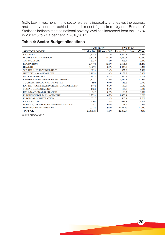GDP. Low investment in this sector worsens inequality and leaves the poorest and most vulnerable behind. Indeed, recent figure from Uganda Bureau of Statistics indicate that the national poverty level has increased from the 19.7% in 2014/15 to 21.4 per cent in 2016/2017.

|                                       | FY2016/17      |              | FY2017/18      |                  |
|---------------------------------------|----------------|--------------|----------------|------------------|
| <b>SECTOR/VOTE</b>                    | <b>Ushs Bn</b> | Share $('%)$ | <b>Ushs Bn</b> | Share $($ 1% $)$ |
| <b>SECURITY</b>                       | 1,578.4        | 7.7%         | 1,472.8        | 6.7%             |
| <b>WORKS AND TRANSPORT</b>            | 3,823.8        | 18.7%        | 4,587.3        | 20.8%            |
| <b>AGRICULTURE</b>                    | 823.4          | 4.0%         | 828.5          | 3.8%             |
| <b>EDUCATION</b>                      | 2,447.5        | 12.0%        | 2,501.3        | 11.4%            |
| <b>HEALTH</b>                         | 1,827.3        | 8.9%         | 1,824.0        | 8.3%             |
| <b>WATER AND ENVIRONMENT</b>          | 689.6          | 3.4%         | 632.0          | 2.9%             |
| <b>JUSTICE/LAW AND ORDER</b>          | 1,103.6        | 5.4%         | 1,159.3        | 5.3%             |
| <b>ACCOUNTABILITY</b>                 | 962.1          | 4.7%         | 896.2          | 4.1%             |
| <b>ENERGY AND MINERAL DEVELOPMENT</b> | 2,377.2        | 11.6%        | 2,319.8        | 10.5%            |
| TOURISM, TRADE AND INDUSTRY           | 89.6           | $0.4\%$      | 116.6          | 0.5%             |
| LANDS, HOUSING AND URBAN DEVELOPMENT  | 147.0          | 0.7%         | 139.9          | 0.6%             |
| <b>SOCIAL DEVELOPMENT</b>             | 192.8          | 0.9%         | 175.8          | 0.8%             |
| <b>ICT &amp; NATIONAL GUIDANCE</b>    | 55.3           | 0.3%         | 104.3          | 0.5%             |
| PUBLIC SECTOR MANAGEMENT              | 1,273.6        | 6.2%         | 1,450.4        | 6.6%             |
| <b>PUBLIC ADMINISTRATION</b>          | 532.3          | 2.6%         | 563.4          | 2.6%             |
| <b>LEGISLATURE</b>                    | 470.0          | 2.3%         | 483.8          | 2.2%             |
| SCIENCE, TECHNOLOGY AND INNOVATION    | 14.2           | 0.1%         | 71.9           | 0.3%             |
| <b>INTEREST PAYMENTS DUE</b>          | 2,022.9        | 9.9%         | 2,675.40       | 12.2%            |
| <b>TOTAL</b>                          | 20,430.61      | 100%         | 22,002.7       | 100%             |

#### **Table 4: Sector Budget allocations**

*Source: MoFPED 2017*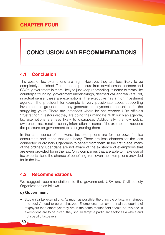# **CONCLUSION AND RECOMMENDATIONS**

## **4.1 Conclusion**

The cost of tax exemptions are high. However, they are less likely to be completely abolished. To reduce the pressure from development partners and CSOs, government is more likely to just keep rebranding its name to terms like counterpart funding, government undertakings, deemed VAT and waivers. Yet, in actual sense, these are exemptions. The executive has a high investment agenda. The president for example is very passionate about supporting investment on grounds that they generate employment opportunities for the struggling youth. There are instances where he has warned URA officials "frustrating" investors yet they are doing their mandate. With such an agenda, tax exemptions are less likely to disappear. Additionally, the low public awareness as a result of scanty information on some of the exemptions reduces the pressure on government to stop granting them.

In the strict sense of the word, tax exemptions are for the powerful, tax consultants and those that can lobby. There are less chances for the less connected or ordinary Ugandans to benefit from them. In the first place, many of the ordinary Ugandans are not aware of the existence of exemptions that are even provided for in the law. Only companies that are able to make use of tax experts stand the chance of benefiting from even the exemptions provided for in the law.

#### **4.2 Recommendations**

We suggest recommendations to the government, URA and Civil society Organizations as follows.

#### **d) Government**

 Stop unfair tax exemptions. As much as possible, the principle of taxation (fairness and equity) need to be emphasized. Exemptions that favor certain categories of taxpayers than others yet they are in the same market field should be avoided. If exemptions are to be given, they should target a particular sector as a whole and not specific taxpayers.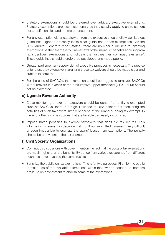- **Statutory exemptions should be preferred over arbitrary executive exemptions.** Statutory exemptions are less distortionary as they usually apply to entire sectors not specific entities and are more transparent.
- For any exemption either statutory or from the executive should follow well laid out guidelines. Uganda presently lacks clear guidelines on tax exemptions. As the 2017 Auditor General's report states, "there are no clear guidelines for granting exemptions neither are there routine reviews of the impact or benefits accruing from tax incentives, exemptions and holidays that justifies their continued existence". These guidelines should therefore be developed and made public.
- Greater parliamentary supervision of executive practices is necessary. The precise criteria used by executive in granting these tax waivers should be made clear and subject to scrutiny.
- For the case of SACCOs, the exemption should be tagged to turnover. SACCOs with turnovers in excess of the presumptive upper threshold (UGX 150M) should not be exempted.

#### **e) Uganda Revenue Authority**

- Close monitoring of exempt taxpayers should be done. If an entity is exempted such as SACCOs, there is a high likelihood of URA officers not monitoring the activities of such taxpayers simply because of the brand of being tax exempt. In the end, other income sources that are taxable can easily go untaxed.
- **Impose harsh penalties to exempt taxpayers that don't file tax returns. This** information is relevant in decision making. If not submitted it makes it very difficult or even impossible to estimate the gains/ losses from exemptions. The penalty should be equivalent to the tax exempted.

#### **f) Civil Society Organizations**

- Continuous discussions with government on the fact that the costs of tax exemptions are much higher than the benefits. Evidence from various researches from different countries have revealed the same results.
- Sensitize the public on tax exemptions. This is for two purposes. First, for the public to make use of the available exemptions within the law and second, to increase pressure on government to abolish some of the exemptions.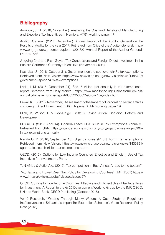# **Bibliography**

Amupolo, J. N. (2018, November). Analysing the Cost and Benefits of Manufacturing and Exporters Tax Incentives in Namibia. ATRN working paper 17.

Auditor General. (2017, December). Annual Report of the Auditor General on the Results of Audits for the year 2017. Retrieved from Ofice of the Auditor General: http:// www.oag.go.ug/wp-content/uploads/2018/01/Annual-Report-of-the-Auditor-General-FY-2017.pdf

Jingqing Chai and Rishi Goyal, "Tax Concessions and Foreign Direct Investment in the Eastern Caribbean Currency Union" IMF (November 2008).

Kashaka, U. (2018, October 31). Government on the spot over sh47b tax exemptions. Retrieved from New Vision: https://www.newvision.co.ug/new\_vision/news/1488727/ government-spot-sh47b-tax-exemptions

Ladu, I. M. (2015, December 21). Shs1.5 trillion lost annually in tax exemptions report. Retrieved from Daily Monitor: https://www.monitor.co.ug/Business/Trillion-lostannually-tax-exemptions-report/688322-3003598-ciur1bz/index.html

Lawal, K. K. (2018, November). Assessment of the Impact of Corporation Tax Incentives on Foreign Direct Investment (FDI) in Nigeria. ATRN working paper 19.

Mick, M, Wilson, P & Odd-Helge , (2018). Taxing Africa: Coercion, Reform and Development

Mujuni, R. (2012, April 14). Uganda Loses UGX 690b in Tax Exemptions Annually . Retrieved from URN: https://ugandaradionetwork.com/story/uganda-loses-ugx-690bin-tax-exemptions-annually

Nandudu, P. (2016, September 15). Uganda loses sh1.5 trillion in tax exemptions. Retrieved from New Vision: https://www.newvision.co.ug/new\_vision/news/1435391/ uganda-losses-sh-trillion-tax-exemptions-report

OECD. (2015). Options for Low Income Countries' Effective and Efficient Use of Tax Incentives for Investment . Paris.

TJN Africa & ActionAid. (2012). Tax competition in East Africa: A race to the bottom?

 Vito Tanzi and Howell Zee, "Tax Policy for Developing Countries", IMF (2001) https:// www.imf.org/external/pubs/ft/issues/issues27/

OECD, Options for Low Income Countries' Effective and Efficient Use of Tax Incentives for Investment: A Report to the G-20 Development Working Group by the IMF, OECD, UN and World Bank, OECD Publishing (October 2015).

Verité Research, "Wading Through Murky Waters: A Case Study of Regulatory Ineffectiveness in Sri Lanka's Import Tax Exemption Schemes", Verité Research Policy Note (2018).